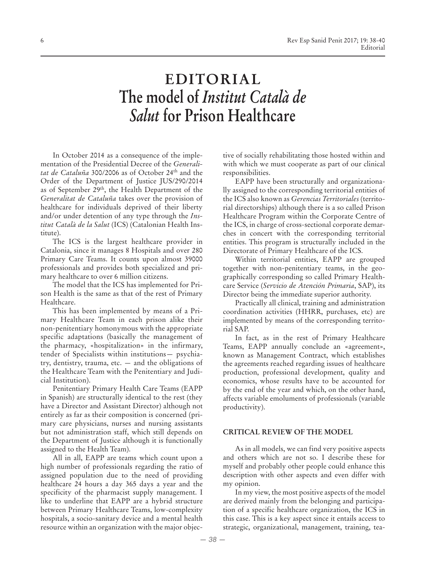# **EDITORIAL The model of** *Institut Català de Salut* **for Prison Healthcare**

In October 2014 as a consequence of the implementation of the Presidential Decree of the *Generalitat de Cataluña* 300/2006 as of October 24th and the Order of the Department of Justice JUS/290/2014 as of September 29<sup>th</sup>, the Health Department of the *Generalitat de Cataluña* takes over the provision of healthcare for individuals deprived of their liberty and/or under detention of any type through the *Institut Català de la Salut* (ICS) (Catalonian Health Institute).

The ICS is the largest healthcare provider in Catalonia, since it manages 8 Hospitals and over 280 Primary Care Teams. It counts upon almost 39000 professionals and provides both specialized and primary healthcare to over 6 million citizens.

The model that the ICS has implemented for Prison Health is the same as that of the rest of Primary Healthcare.

This has been implemented by means of a Primary Healthcare Team in each prison alike their non-penitentiary homonymous with the appropriate specific adaptations (basically the management of the pharmacy, «hospitalization» in the infirmary, tender of Specialists within institutions— psychiatry, dentistry, trauma, etc. — and the obligations of the Healthcare Team with the Penitentiary and Judicial Institution).

Penitentiary Primary Health Care Teams (EAPP in Spanish) are structurally identical to the rest (they have a Director and Assistant Director) although not entirely as far as their composition is concerned (primary care physicians, nurses and nursing assistants but not administration staff, which still depends on the Department of Justice although it is functionally assigned to the Health Team).

All in all, EAPP are teams which count upon a high number of professionals regarding the ratio of assigned population due to the need of providing healthcare 24 hours a day 365 days a year and the specificity of the pharmacist supply management. I like to underline that EAPP are a hybrid structure between Primary Healthcare Teams, low-complexity hospitals, a socio-sanitary device and a mental health resource within an organization with the major objective of socially rehabilitating those hosted within and with which we must cooperate as part of our clinical responsibilities.

EAPP have been structurally and organizationally assigned to the corresponding territorial entities of the ICS also known as *Gerencias Territoriales* (territorial directorships) although there is a so called Prison Healthcare Program within the Corporate Centre of the ICS, in charge of cross-sectional corporate demarches in concert with the corresponding territorial entities. This program is structurally included in the Directorate of Primary Healthcare of the ICS.

Within territorial entities, EAPP are grouped together with non-penitentiary teams, in the geographically corresponding so called Primary Healthcare Service (*Servicio de Atención Primaria*, SAP), its Director being the immediate superior authority.

Practically all clinical, training and administration coordination activities (HHRR, purchases, etc) are implemented by means of the corresponding territorial SAP.

In fact, as in the rest of Primary Healthcare Teams, EAPP annually conclude an «agreement», known as Management Contract, which establishes the agreements reached regarding issues of healthcare production, professional development, quality and economics, whose results have to be accounted for by the end of the year and which, on the other hand, affects variable emoluments of professionals (variable productivity).

#### **CRITICAL REVIEW OF THE MODEL**

As in all models, we can find very positive aspects and others which are not so. I describe these for myself and probably other people could enhance this description with other aspects and even differ with my opinion.

In my view, the most positive aspects of the model are derived mainly from the belonging and participation of a specific healthcare organization, the ICS in this case. This is a key aspect since it entails access to strategic, organizational, management, training, tea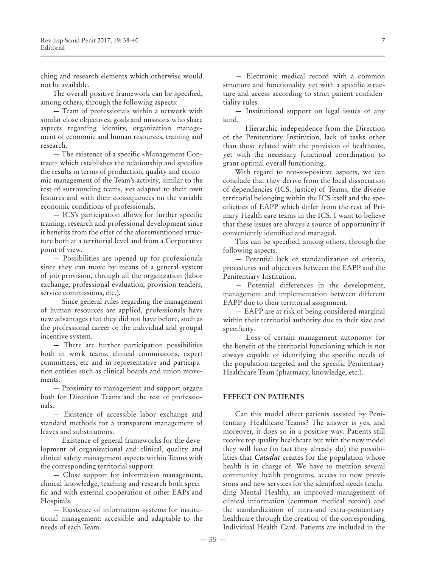ching and research elements which otherwise would not be available.

The overall positive framework can be specified, among others, through the following aspects:

— Team of professionals within a network with similar close objectives, goals and missions who share aspects regarding identity, organization management of economic and human resources, training and research.

— The existence of a specific «Management Contract» which establishes the relationship and specifies the results in terms of production, quality and economic management of the Team's activity, similar to the rest of surrounding teams, yet adapted to their own features and with their consequences on the variable economic conditions of professionals.

— ICS's participation allows for further specific training, research and professional development since it benefits from the offer of the aforementioned structure both at a territorial level and from a Corporative point of view.

— Possibilities are opened up for professionals since they can move by means of a general system of job provision, through all the organization (labor exchange, professional evaluation, provision tenders, service commissions, etc.).

— Since general rules regarding the management of human resources are applied, professionals have new advantages that they did not have before, such as the professional career or the individual and groupal incentive system.

— There are further participation possibilities both in work teams, clinical commissions, expert committees, etc and in representative and participation entities such as clinical boards and union movements.

— Proximity to management and support organs both for Direction Teams and the rest of professionals.

— Existence of accessible labor exchange and standard methods for a transparent management of leaves and substitutions.

— Existence of general frameworks for the development of organizational and clinical, quality and clinical safety management aspects within Teams with the corresponding territorial support.

— Close support for information management, clinical knowledge, teaching and research both specific and with external cooperation of other EAPs and Hospitals.

— Existence of information systems for institutional management: accessible and adaptable to the needs of each Team.

— Electronic medical record with a common structure and functionality yet with a specific structure and access according to strict patient confidentiality rules.

— Institutional support on legal issues of any kind.

— Hierarchic independence from the Direction of the Penitentiary Institution, lack of tasks other than those related with the provision of healthcare, yet with the necessary functional coordination to grant optimal overall functioning.

With regard to not-so-positive aspects, we can conclude that they derive from the local dissociation of dependencies (ICS, Justice) of Teams, the diverse territorial belonging within the ICS itself and the specificities of EAPP which differ from the rest of Primary Health care teams in the ICS. I want to believe that these issues are always a source of opportunity if conveniently identified and managed.

This can be specified, among others, through the following aspects:

— Potential lack of standardization of criteria, procedures and objectives between the EAPP and the Penitentiary Institution.

— Potential differences in the development, management and implementation between different EAPP due to their territorial assignment.

— EAPP are at risk of being considered marginal within their territorial authority due to their size and specificity.

— Loss of certain management autonomy for the benefit of the territorial functioning which is not always capable of identifying the specific needs of the population targeted and the specific Penitentiary Healthcare Team (pharmacy, knowledge, etc.).

#### **EFFECT ON PATIENTS**

Can this model affect patients assisted by Penitentiary Healthcare Teams? The answer is yes, and moreover, it does so in a positive way. Patients still receive top quality healthcare but with the new model they will have (in fact they already do) the possibilities that *Catsalut* creates for the population whose health is in charge of. We have to mention several community health programs, access to new provisions and new services for the identified needs (including Mental Health), an improved management of clinical information (common medical record) and the standardization of intra-and extra-penitentiary healthcare through the creation of the corresponding Individual Health Card. Patients are included in the